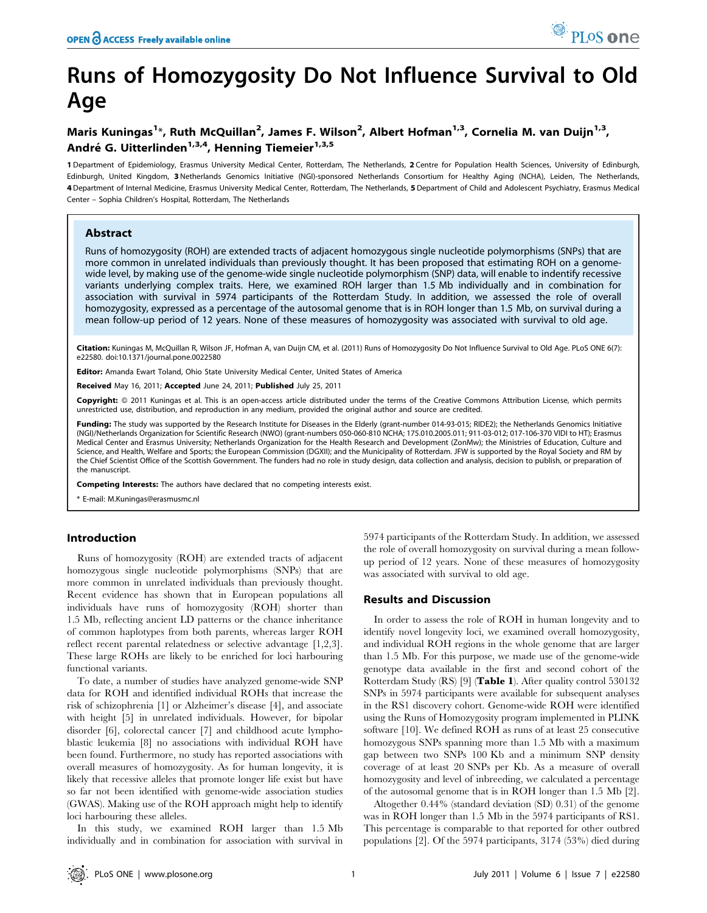# Runs of Homozygosity Do Not Influence Survival to Old Age

# Maris Kuningas<sup>1\*</sup>, Ruth McQuillan<sup>2</sup>, James F. Wilson<sup>2</sup>, Albert Hofman<sup>1,3</sup>, Cornelia M. van Duijn<sup>1,3</sup>, André G. Uitterlinden<sup>1,3,4</sup>, Henning Tiemeier<sup>1,3,5</sup>

1 Department of Epidemiology, Erasmus University Medical Center, Rotterdam, The Netherlands, 2 Centre for Population Health Sciences, University of Edinburgh, Edinburgh, United Kingdom, 3Netherlands Genomics Initiative (NGI)-sponsored Netherlands Consortium for Healthy Aging (NCHA), Leiden, The Netherlands, 4 Department of Internal Medicine, Erasmus University Medical Center, Rotterdam, The Netherlands, 5 Department of Child and Adolescent Psychiatry, Erasmus Medical Center – Sophia Children's Hospital, Rotterdam, The Netherlands

# Abstract

Runs of homozygosity (ROH) are extended tracts of adjacent homozygous single nucleotide polymorphisms (SNPs) that are more common in unrelated individuals than previously thought. It has been proposed that estimating ROH on a genomewide level, by making use of the genome-wide single nucleotide polymorphism (SNP) data, will enable to indentify recessive variants underlying complex traits. Here, we examined ROH larger than 1.5 Mb individually and in combination for association with survival in 5974 participants of the Rotterdam Study. In addition, we assessed the role of overall homozygosity, expressed as a percentage of the autosomal genome that is in ROH longer than 1.5 Mb, on survival during a mean follow-up period of 12 years. None of these measures of homozygosity was associated with survival to old age.

Citation: Kuningas M, McQuillan R, Wilson JF, Hofman A, van Duijn CM, et al. (2011) Runs of Homozygosity Do Not Influence Survival to Old Age. PLoS ONE 6(7): e22580. doi:10.1371/journal.pone.0022580

Editor: Amanda Ewart Toland, Ohio State University Medical Center, United States of America

Received May 16, 2011; Accepted June 24, 2011; Published July 25, 2011

**Copyright:** © 2011 Kuningas et al. This is an open-access article distributed under the terms of the Creative Commons Attribution License, which permits unrestricted use, distribution, and reproduction in any medium, provided the original author and source are credited.

Funding: The study was supported by the Research Institute for Diseases in the Elderly (grant-number 014-93-015; RIDE2); the Netherlands Genomics Initiative (NGI)/Netherlands Organization for Scientific Research (NWO) (grant-numbers 050-060-810 NCHA; 175.010.2005.011; 911-03-012; 017-106-370 VIDI to HT); Erasmus Medical Center and Erasmus University; Netherlands Organization for the Health Research and Development (ZonMw); the Ministries of Education, Culture and Science, and Health, Welfare and Sports; the European Commission (DGXII); and the Municipality of Rotterdam. JFW is supported by the Royal Society and RM by the Chief Scientist Office of the Scottish Government. The funders had no role in study design, data collection and analysis, decision to publish, or preparation of the manuscript.

Competing Interests: The authors have declared that no competing interests exist.

E-mail: M.Kuningas@erasmusmc.nl

# Introduction

Runs of homozygosity (ROH) are extended tracts of adjacent homozygous single nucleotide polymorphisms (SNPs) that are more common in unrelated individuals than previously thought. Recent evidence has shown that in European populations all individuals have runs of homozygosity (ROH) shorter than 1.5 Mb, reflecting ancient LD patterns or the chance inheritance of common haplotypes from both parents, whereas larger ROH reflect recent parental relatedness or selective advantage [1,2,3]. These large ROHs are likely to be enriched for loci harbouring functional variants.

To date, a number of studies have analyzed genome-wide SNP data for ROH and identified individual ROHs that increase the risk of schizophrenia [1] or Alzheimer's disease [4], and associate with height [5] in unrelated individuals. However, for bipolar disorder [6], colorectal cancer [7] and childhood acute lymphoblastic leukemia [8] no associations with individual ROH have been found. Furthermore, no study has reported associations with overall measures of homozygosity. As for human longevity, it is likely that recessive alleles that promote longer life exist but have so far not been identified with genome-wide association studies (GWAS). Making use of the ROH approach might help to identify loci harbouring these alleles.

In this study, we examined ROH larger than 1.5 Mb individually and in combination for association with survival in 5974 participants of the Rotterdam Study. In addition, we assessed the role of overall homozygosity on survival during a mean followup period of 12 years. None of these measures of homozygosity was associated with survival to old age.

# Results and Discussion

In order to assess the role of ROH in human longevity and to identify novel longevity loci, we examined overall homozygosity, and individual ROH regions in the whole genome that are larger than 1.5 Mb. For this purpose, we made use of the genome-wide genotype data available in the first and second cohort of the Rotterdam Study (RS) [9] (Table 1). After quality control 530132 SNPs in 5974 participants were available for subsequent analyses in the RS1 discovery cohort. Genome-wide ROH were identified using the Runs of Homozygosity program implemented in PLINK software [10]. We defined ROH as runs of at least 25 consecutive homozygous SNPs spanning more than 1.5 Mb with a maximum gap between two SNPs 100 Kb and a minimum SNP density coverage of at least 20 SNPs per Kb. As a measure of overall homozygosity and level of inbreeding, we calculated a percentage of the autosomal genome that is in ROH longer than 1.5 Mb [2].

Altogether 0.44% (standard deviation (SD) 0.31) of the genome was in ROH longer than 1.5 Mb in the 5974 participants of RS1. This percentage is comparable to that reported for other outbred populations [2]. Of the 5974 participants, 3174 (53%) died during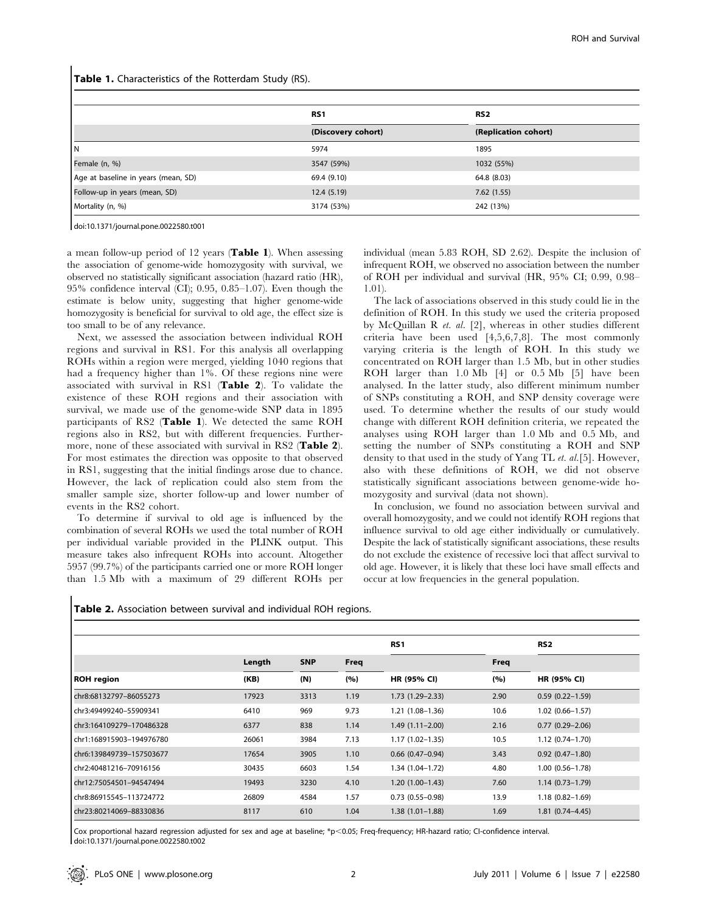Table 1. Characteristics of the Rotterdam Study (RS).

|                                     | RS <sub>1</sub>    | RS <sub>2</sub>      |  |  |  |  |  |
|-------------------------------------|--------------------|----------------------|--|--|--|--|--|
|                                     | (Discovery cohort) | (Replication cohort) |  |  |  |  |  |
| ΙN                                  | 5974               | 1895                 |  |  |  |  |  |
| Female (n, %)                       | 3547 (59%)         | 1032 (55%)           |  |  |  |  |  |
| Age at baseline in years (mean, SD) | 69.4 (9.10)        | 64.8 (8.03)          |  |  |  |  |  |
| Follow-up in years (mean, SD)       | 12.4(5.19)         | 7.62(1.55)           |  |  |  |  |  |
| Mortality (n, %)                    | 3174 (53%)         | 242 (13%)            |  |  |  |  |  |

doi:10.1371/journal.pone.0022580.t001

a mean follow-up period of 12 years (Table 1). When assessing the association of genome-wide homozygosity with survival, we observed no statistically significant association (hazard ratio (HR), 95% confidence interval (CI); 0.95, 0.85–1.07). Even though the estimate is below unity, suggesting that higher genome-wide homozygosity is beneficial for survival to old age, the effect size is too small to be of any relevance.

Next, we assessed the association between individual ROH regions and survival in RS1. For this analysis all overlapping ROHs within a region were merged, yielding 1040 regions that had a frequency higher than 1%. Of these regions nine were associated with survival in RS1 (Table 2). To validate the existence of these ROH regions and their association with survival, we made use of the genome-wide SNP data in 1895 participants of RS2 (Table 1). We detected the same ROH regions also in RS2, but with different frequencies. Furthermore, none of these associated with survival in RS2 (Table 2). For most estimates the direction was opposite to that observed in RS1, suggesting that the initial findings arose due to chance. However, the lack of replication could also stem from the smaller sample size, shorter follow-up and lower number of events in the RS2 cohort.

To determine if survival to old age is influenced by the combination of several ROHs we used the total number of ROH per individual variable provided in the PLINK output. This measure takes also infrequent ROHs into account. Altogether 5957 (99.7%) of the participants carried one or more ROH longer than 1.5 Mb with a maximum of 29 different ROHs per

individual (mean 5.83 ROH, SD 2.62). Despite the inclusion of infrequent ROH, we observed no association between the number of ROH per individual and survival (HR, 95% CI; 0.99, 0.98– 1.01).

The lack of associations observed in this study could lie in the definition of ROH. In this study we used the criteria proposed by McQuillan R et. al. [2], whereas in other studies different criteria have been used [4,5,6,7,8]. The most commonly varying criteria is the length of ROH. In this study we concentrated on ROH larger than 1.5 Mb, but in other studies ROH larger than 1.0 Mb [4] or 0.5 Mb [5] have been analysed. In the latter study, also different minimum number of SNPs constituting a ROH, and SNP density coverage were used. To determine whether the results of our study would change with different ROH definition criteria, we repeated the analyses using ROH larger than 1.0 Mb and 0.5 Mb, and setting the number of SNPs constituting a ROH and SNP density to that used in the study of Yang TL et. al.[5]. However, also with these definitions of ROH, we did not observe statistically significant associations between genome-wide homozygosity and survival (data not shown).

In conclusion, we found no association between survival and overall homozygosity, and we could not identify ROH regions that influence survival to old age either individually or cumulatively. Despite the lack of statistically significant associations, these results do not exclude the existence of recessive loci that affect survival to old age. However, it is likely that these loci have small effects and occur at low frequencies in the general population.

| Table 2. Association between survival and individual ROH regions. |  |  |  |
|-------------------------------------------------------------------|--|--|--|
|-------------------------------------------------------------------|--|--|--|

|                          |                |            |                    | RS <sub>1</sub>        | Freq<br>(%) | RS <sub>2</sub><br>HR (95% CI) |
|--------------------------|----------------|------------|--------------------|------------------------|-------------|--------------------------------|
| <b>ROH</b> region        | Length<br>(KB) | <b>SNP</b> | <b>Freq</b><br>(%) | HR (95% CI)            |             |                                |
|                          |                | (N)        |                    |                        |             |                                |
| chr8:68132797-86055273   | 17923          | 3313       | 1.19               | $1.73(1.29 - 2.33)$    | 2.90        | $0.59(0.22 - 1.59)$            |
| chr3:49499240-55909341   | 6410           | 969        | 9.73               | 1.21 (1.08–1.36)       | 10.6        | $1.02(0.66 - 1.57)$            |
| chr3:164109279-170486328 | 6377           | 838        | 1.14               | $1.49(1.11 - 2.00)$    | 2.16        | $0.77(0.29 - 2.06)$            |
| chr1:168915903-194976780 | 26061          | 3984       | 7.13               | $1.17(1.02 - 1.35)$    | 10.5        | $1.12(0.74 - 1.70)$            |
| chr6:139849739-157503677 | 17654          | 3905       | 1.10               | $0.66$ $(0.47-0.94)$   | 3.43        | $0.92(0.47-1.80)$              |
| chr2:40481216-70916156   | 30435          | 6603       | 1.54               | 1.34 (1.04-1.72)       | 4.80        | $1.00(0.56 - 1.78)$            |
| chr12:75054501-94547494  | 19493          | 3230       | 4.10               | $1.20(1.00-1.43)$      | 7.60        | $1.14(0.73 - 1.79)$            |
| chr8:86915545-113724772  | 26809          | 4584       | 1.57               | $0.73$ $(0.55 - 0.98)$ | 13.9        | $1.18(0.82 - 1.69)$            |
| chr23:80214069-88330836  | 8117           | 610        | 1.04               | $1.38(1.01 - 1.88)$    | 1.69        | $1.81(0.74 - 4.45)$            |

Cox proportional hazard regression adjusted for sex and age at baseline; \*p,0.05; Freq-frequency; HR-hazard ratio; CI-confidence interval. doi:10.1371/journal.pone.0022580.t002

 $\overline{\phantom{a}}$